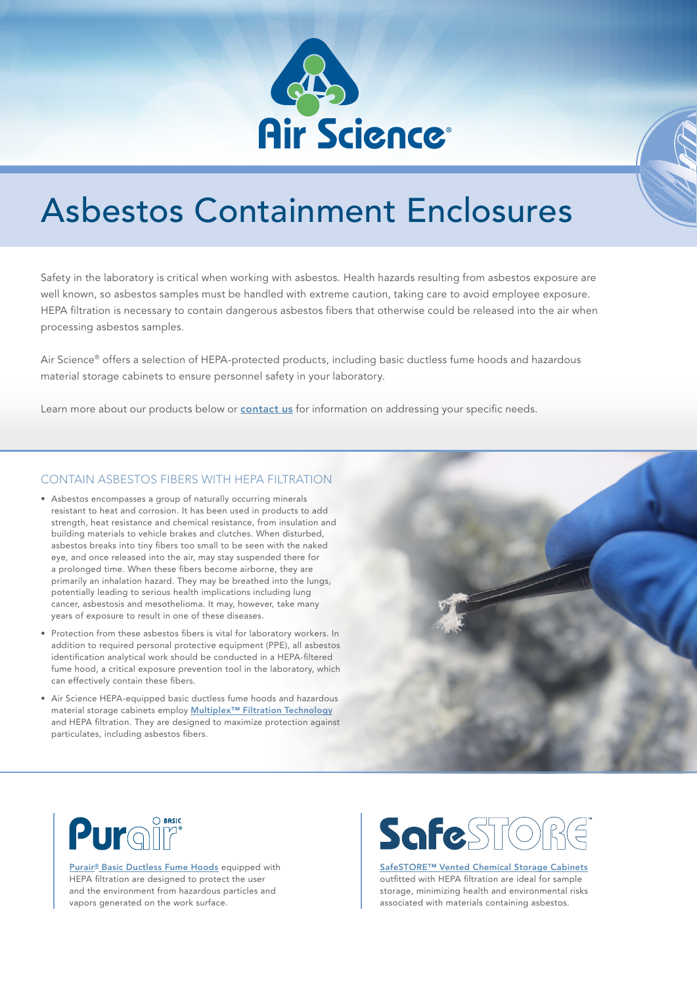

# Asbestos Containment Enclosures

Safety in the laboratory is critical when working with asbestos. Health hazards resulting from asbestos exposure are well known, so asbestos samples must be handled with extreme caution, taking care to avoid employee exposure. HEPA filtration is necessary to contain dangerous asbestos fibers that otherwise could be released into the air when processing asbestos samples.

Air Science® offers a selection of HEPA-protected products, including basic ductless fume hoods and hazardous material storage cabinets to ensure personnel safety in your laboratory.

Learn more about our products below or **[contact us](https://www.airscience.com/contact)** for information on addressing your specific needs.

#### CONTAIN ASBESTOS FIBERS WITH HEPA FILTRATION

- Asbestos encompasses a group of naturally occurring minerals resistant to heat and corrosion. It has been used in products to add strength, heat resistance and chemical resistance, from insulation and building materials to vehicle brakes and clutches. When disturbed, asbestos breaks into tiny fibers too small to be seen with the naked eye, and once released into the air, may stay suspended there for a prolonged time. When these fibers become airborne, they are primarily an inhalation hazard. They may be breathed into the lungs, potentially leading to serious health implications including lung cancer, asbestosis and mesothelioma. It may, however, take many years of exposure to result in one of these diseases.
- Protection from these asbestos fibers is vital for laboratory workers. In addition to required personal protective equipment (PPE), all asbestos identification analytical work should be conducted in a HEPA-filtered fume hood, a critical exposure prevention tool in the laboratory, which can effectively contain these fibers.
- Air Science HEPA-equipped basic ductless fume hoods and hazardous material storage cabinets employ **Multiplex<sup>™</sup> Filtration Technology** and HEPA filtration. They are designed to maximize protection against particulates, including asbestos fibers.





[Purair® Basic Ductless Fume Hoods](https://www.airscience.com/purair-basic-ductless-fume-hoods) equipped with HEPA filtration are designed to protect the user and the environment from hazardous particles and vapors generated on the work surface.

# Safest

[SafeSTORE™ Vented Chemical Storage Cabinets](https://www.airscience.com/safestore-vented-chemical-storage-cabinets) outfitted with HEPA filtration are ideal for sample storage, minimizing health and environmental risks associated with materials containing asbestos.